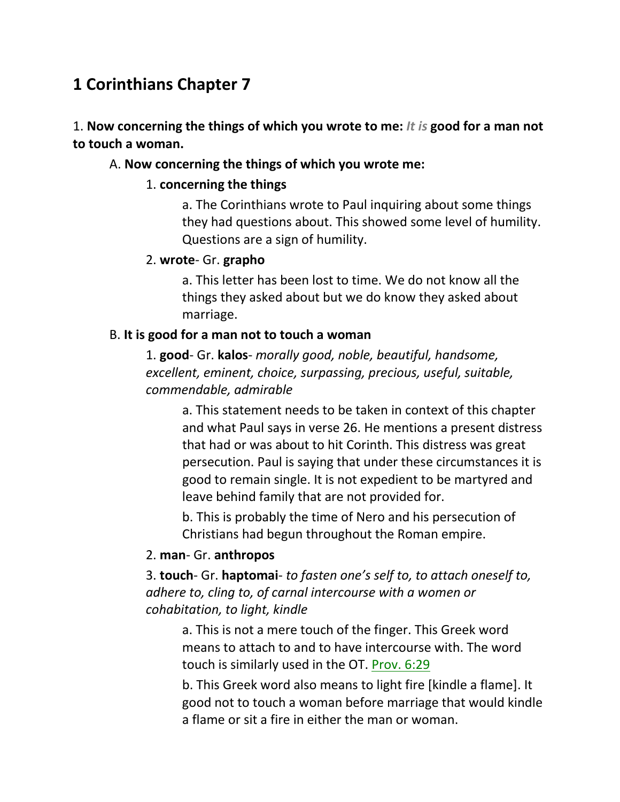# **1 Corinthians Chapter 7**

### 1. **Now concerning the things of which you wrote to me:** *It is* **good for a man not to touch a woman.**

#### A. **Now concerning the things of which you wrote me:**

#### 1. **concerning the things**

a. The Corinthians wrote to Paul inquiring about some things they had questions about. This showed some level of humility. Questions are a sign of humility.

#### 2. **wrote**- Gr. **grapho**

a. This letter has been lost to time. We do not know all the things they asked about but we do know they asked about marriage.

#### B. **It is good for a man not to touch a woman**

1. **good**- Gr. **kalos**- *morally good, noble, beautiful, handsome, excellent, eminent, choice, surpassing, precious, useful, suitable, commendable, admirable*

a. This statement needs to be taken in context of this chapter and what Paul says in verse 26. He mentions a present distress that had or was about to hit Corinth. This distress was great persecution. Paul is saying that under these circumstances it is good to remain single. It is not expedient to be martyred and leave behind family that are not provided for.

b. This is probably the time of Nero and his persecution of Christians had begun throughout the Roman empire.

#### 2. **man**- Gr. **anthropos**

3. **touch**- Gr. **haptomai**- *to fasten one's self to, to attach oneself to, adhere to, cling to, of carnal intercourse with a women or cohabitation, to light, kindle*

a. This is not a mere touch of the finger. This Greek word means to attach to and to have intercourse with. The word touch is similarly used in the OT. Prov. 6:29

b. This Greek word also means to light fire [kindle a flame]. It good not to touch a woman before marriage that would kindle a flame or sit a fire in either the man or woman.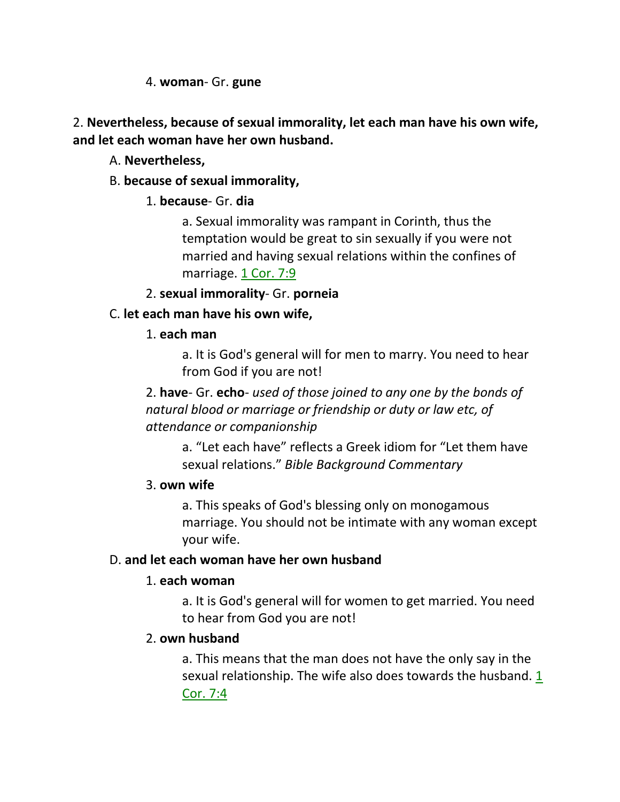4. **woman**- Gr. **gune**

2. **Nevertheless, because of sexual immorality, let each man have his own wife, and let each woman have her own husband.**

### A. **Nevertheless,**

### B. **because of sexual immorality,**

## 1. **because**- Gr. **dia**

a. Sexual immorality was rampant in Corinth, thus the temptation would be great to sin sexually if you were not married and having sexual relations within the confines of marriage. 1 Cor. 7:9

### 2. **sexual immorality**- Gr. **porneia**

## C. **let each man have his own wife,**

### 1. **each man**

a. It is God's general will for men to marry. You need to hear from God if you are not!

2. **have**- Gr. **echo**- *used of those joined to any one by the bonds of natural blood or marriage or friendship or duty or law etc, of attendance or companionship*

a. "Let each have" reflects a Greek idiom for "Let them have sexual relations." *Bible Background Commentary*

### 3. **own wife**

a. This speaks of God's blessing only on monogamous marriage. You should not be intimate with any woman except your wife.

## D. **and let each woman have her own husband**

## 1. **each woman**

a. It is God's general will for women to get married. You need to hear from God you are not!

### 2. **own husband**

a. This means that the man does not have the only say in the sexual relationship. The wife also does towards the husband. 1 Cor. 7:4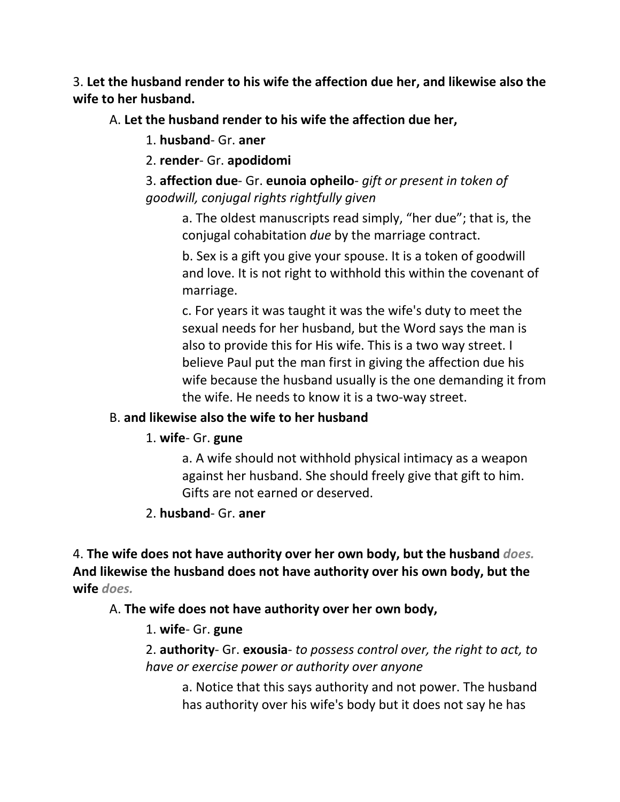3. **Let the husband render to his wife the affection due her, and likewise also the wife to her husband.** 

A. **Let the husband render to his wife the affection due her,**

1. **husband**- Gr. **aner**

2. **render**- Gr. **apodidomi**

3. **affection due**- Gr. **eunoia opheilo**- *gift or present in token of goodwill, conjugal rights rightfully given*

a. The oldest manuscripts read simply, "her due"; that is, the conjugal cohabitation *due* by the marriage contract.

b. Sex is a gift you give your spouse. It is a token of goodwill and love. It is not right to withhold this within the covenant of marriage.

c. For years it was taught it was the wife's duty to meet the sexual needs for her husband, but the Word says the man is also to provide this for His wife. This is a two way street. I believe Paul put the man first in giving the affection due his wife because the husband usually is the one demanding it from the wife. He needs to know it is a two-way street.

### B. **and likewise also the wife to her husband**

## 1. **wife**- Gr. **gune**

a. A wife should not withhold physical intimacy as a weapon against her husband. She should freely give that gift to him. Gifts are not earned or deserved.

## 2. **husband**- Gr. **aner**

4. **The wife does not have authority over her own body, but the husband** *does.* **And likewise the husband does not have authority over his own body, but the wife** *does.*

## A. **The wife does not have authority over her own body,**

## 1. **wife**- Gr. **gune**

2. **authority**- Gr. **exousia**- *to possess control over, the right to act, to have or exercise power or authority over anyone*

a. Notice that this says authority and not power. The husband has authority over his wife's body but it does not say he has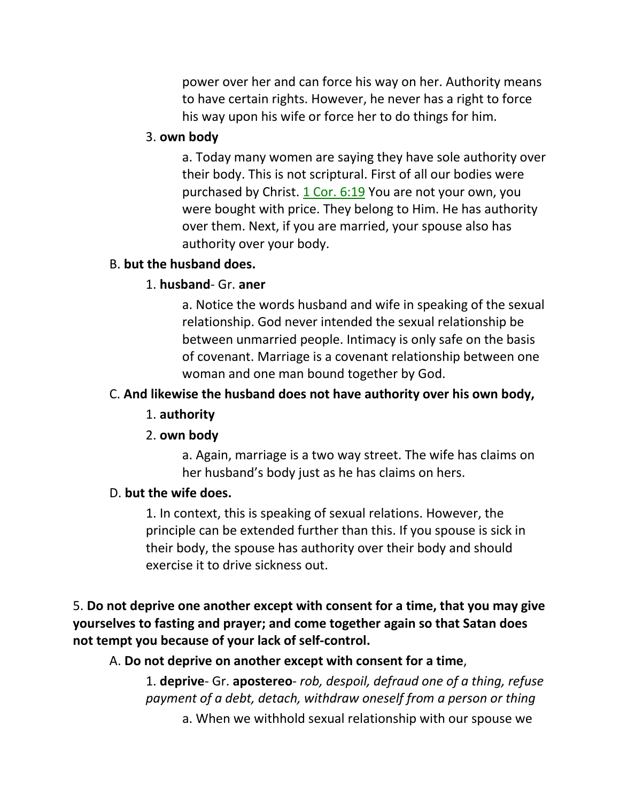power over her and can force his way on her. Authority means to have certain rights. However, he never has a right to force his way upon his wife or force her to do things for him.

#### 3. **own body**

a. Today many women are saying they have sole authority over their body. This is not scriptural. First of all our bodies were purchased by Christ. 1 Cor. 6:19 You are not your own, you were bought with price. They belong to Him. He has authority over them. Next, if you are married, your spouse also has authority over your body.

#### B. **but the husband does.**

#### 1. **husband**- Gr. **aner**

a. Notice the words husband and wife in speaking of the sexual relationship. God never intended the sexual relationship be between unmarried people. Intimacy is only safe on the basis of covenant. Marriage is a covenant relationship between one woman and one man bound together by God.

#### C. **And likewise the husband does not have authority over his own body,**

#### 1. **authority**

#### 2. **own body**

a. Again, marriage is a two way street. The wife has claims on her husband's body just as he has claims on hers.

#### D. **but the wife does.**

1. In context, this is speaking of sexual relations. However, the principle can be extended further than this. If you spouse is sick in their body, the spouse has authority over their body and should exercise it to drive sickness out.

5. **Do not deprive one another except with consent for a time, that you may give yourselves to fasting and prayer; and come together again so that Satan does not tempt you because of your lack of self-control.** 

A. **Do not deprive on another except with consent for a time**,

1. **deprive**- Gr. **apostereo**- *rob, despoil, defraud one of a thing, refuse payment of a debt, detach, withdraw oneself from a person or thing* a. When we withhold sexual relationship with our spouse we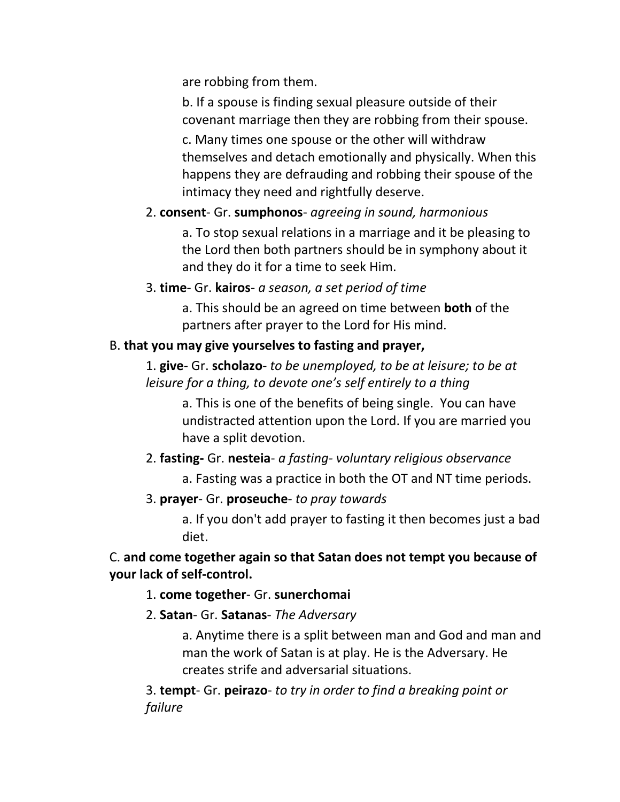are robbing from them.

b. If a spouse is finding sexual pleasure outside of their covenant marriage then they are robbing from their spouse.

c. Many times one spouse or the other will withdraw themselves and detach emotionally and physically. When this happens they are defrauding and robbing their spouse of the intimacy they need and rightfully deserve.

## 2. **consent**- Gr. **sumphonos**- *agreeing in sound, harmonious*

a. To stop sexual relations in a marriage and it be pleasing to the Lord then both partners should be in symphony about it and they do it for a time to seek Him.

### 3. **time**- Gr. **kairos**- *a season, a set period of time*

a. This should be an agreed on time between **both** of the partners after prayer to the Lord for His mind.

## B. **that you may give yourselves to fasting and prayer,**

1. **give**- Gr. **scholazo**- *to be unemployed, to be at leisure; to be at leisure for a thing, to devote one's self entirely to a thing*

a. This is one of the benefits of being single. You can have undistracted attention upon the Lord. If you are married you have a split devotion.

2. **fasting-** Gr. **nesteia**- *a fasting- voluntary religious observance*

a. Fasting was a practice in both the OT and NT time periods.

## 3. **prayer**- Gr. **proseuche**- *to pray towards*

a. If you don't add prayer to fasting it then becomes just a bad diet.

## C. **and come together again so that Satan does not tempt you because of your lack of self-control.**

1. **come together**- Gr. **sunerchomai**

2. **Satan**- Gr. **Satanas**- *The Adversary*

a. Anytime there is a split between man and God and man and man the work of Satan is at play. He is the Adversary. He creates strife and adversarial situations.

3. **tempt**- Gr. **peirazo**- *to try in order to find a breaking point or failure*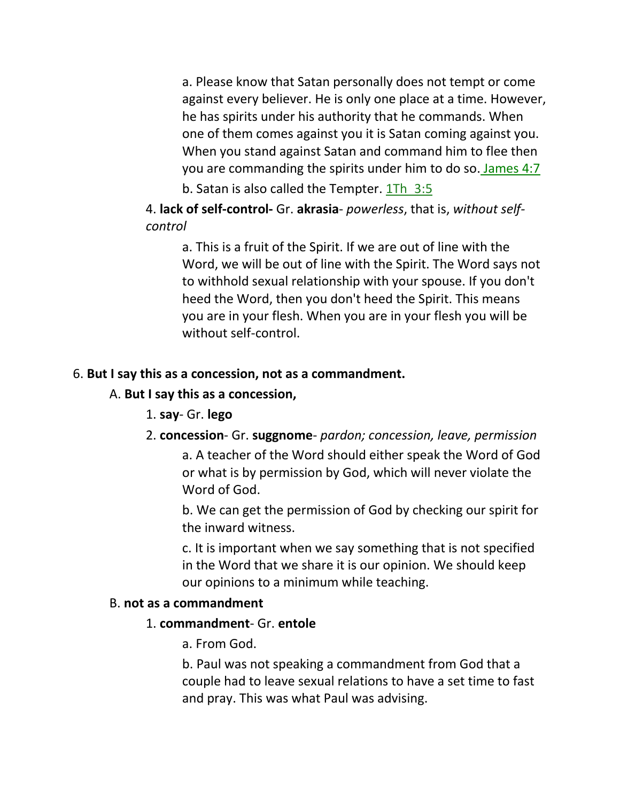a. Please know that Satan personally does not tempt or come against every believer. He is only one place at a time. However, he has spirits under his authority that he commands. When one of them comes against you it is Satan coming against you. When you stand against Satan and command him to flee then you are commanding the spirits under him to do so. James 4:7 b. Satan is also called the Tempter. 1Th 3:5

4. **lack of self-control-** Gr. **akrasia**- *powerless*, that is, *without selfcontrol*

a. This is a fruit of the Spirit. If we are out of line with the Word, we will be out of line with the Spirit. The Word says not to withhold sexual relationship with your spouse. If you don't heed the Word, then you don't heed the Spirit. This means you are in your flesh. When you are in your flesh you will be without self-control.

#### 6. **But I say this as a concession, not as a commandment.**

#### A. **But I say this as a concession,**

1. **say**- Gr. **lego**

### 2. **concession**- Gr. **suggnome**- *pardon; concession, leave, permission*

a. A teacher of the Word should either speak the Word of God or what is by permission by God, which will never violate the Word of God.

b. We can get the permission of God by checking our spirit for the inward witness.

c. It is important when we say something that is not specified in the Word that we share it is our opinion. We should keep our opinions to a minimum while teaching.

#### B. **not as a commandment**

#### 1. **commandment**- Gr. **entole**

a. From God.

b. Paul was not speaking a commandment from God that a couple had to leave sexual relations to have a set time to fast and pray. This was what Paul was advising.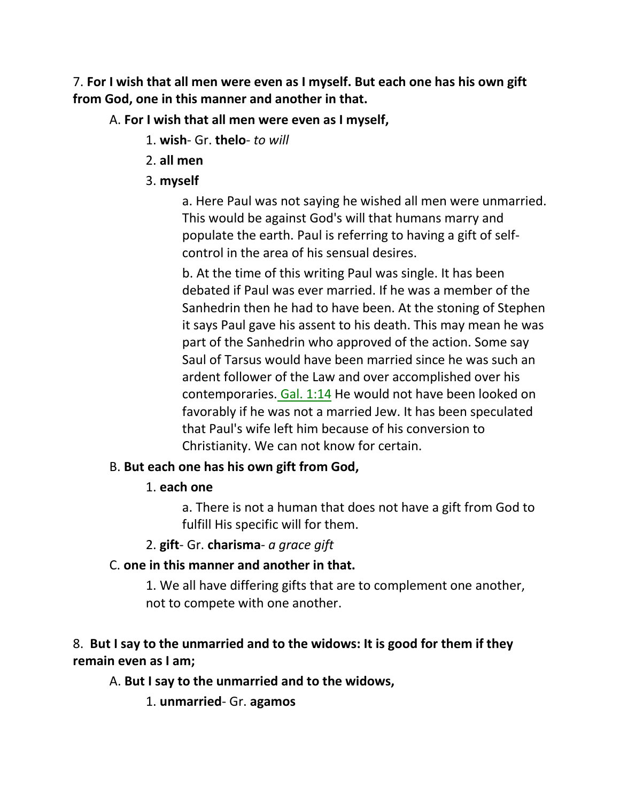7. **For I wish that all men were even as I myself. But each one has his own gift from God, one in this manner and another in that.** 

### A. **For I wish that all men were even as I myself,**

- 1. **wish** Gr. **thelo** *to will*
- 2. **all men**
- 3. **myself**

a. Here Paul was not saying he wished all men were unmarried. This would be against God's will that humans marry and populate the earth. Paul is referring to having a gift of selfcontrol in the area of his sensual desires.

b. At the time of this writing Paul was single. It has been debated if Paul was ever married. If he was a member of the Sanhedrin then he had to have been. At the stoning of Stephen it says Paul gave his assent to his death. This may mean he was part of the Sanhedrin who approved of the action. Some say Saul of Tarsus would have been married since he was such an ardent follower of the Law and over accomplished over his contemporaries. Gal. 1:14 He would not have been looked on favorably if he was not a married Jew. It has been speculated that Paul's wife left him because of his conversion to Christianity. We can not know for certain.

### B. **But each one has his own gift from God,**

1. **each one**

a. There is not a human that does not have a gift from God to fulfill His specific will for them.

2. **gift**- Gr. **charisma**- *a grace gift*

## C. **one in this manner and another in that.**

1. We all have differing gifts that are to complement one another, not to compete with one another.

## 8. **But I say to the unmarried and to the widows: It is good for them if they remain even as I am;**

## A. **But I say to the unmarried and to the widows,**

1. **unmarried**- Gr. **agamos**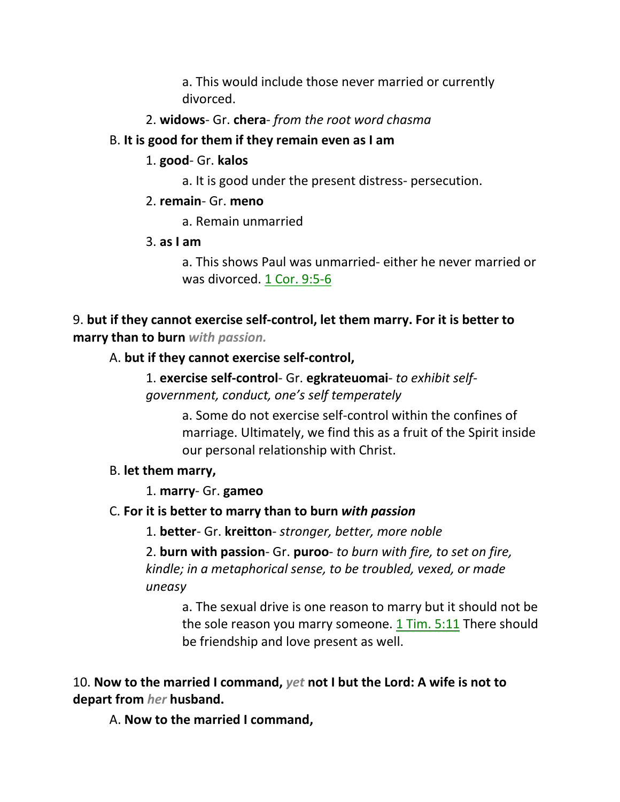a. This would include those never married or currently divorced.

2. **widows**- Gr. **chera**- *from the root word chasma*

### B. **It is good for them if they remain even as I am**

- 1. **good** Gr. **kalos**
	- a. It is good under the present distress- persecution.

### 2. **remain**- Gr. **meno**

a. Remain unmarried

3. **as I am**

a. This shows Paul was unmarried- either he never married or was divorced. 1 Cor. 9:5-6

## 9. **but if they cannot exercise self-control, let them marry. For it is better to marry than to burn** *with passion.*

A. **but if they cannot exercise self-control,**

1. **exercise self-control**- Gr. **egkrateuomai**- *to exhibit selfgovernment, conduct, one's self temperately*

> a. Some do not exercise self-control within the confines of marriage. Ultimately, we find this as a fruit of the Spirit inside our personal relationship with Christ.

## B. **let them marry,**

1. **marry**- Gr. **gameo**

## C. **For it is better to marry than to burn** *with passion*

1. **better**- Gr. **kreitton**- *stronger, better, more noble*

2. **burn with passion**- Gr. **puroo**- *to burn with fire, to set on fire, kindle; in a metaphorical sense, to be troubled, vexed, or made uneasy*

a. The sexual drive is one reason to marry but it should not be the sole reason you marry someone. 1 Tim. 5:11 There should be friendship and love present as well.

10. **Now to the married I command,** *yet* **not I but the Lord: A wife is not to depart from** *her* **husband.** 

A. **Now to the married I command,**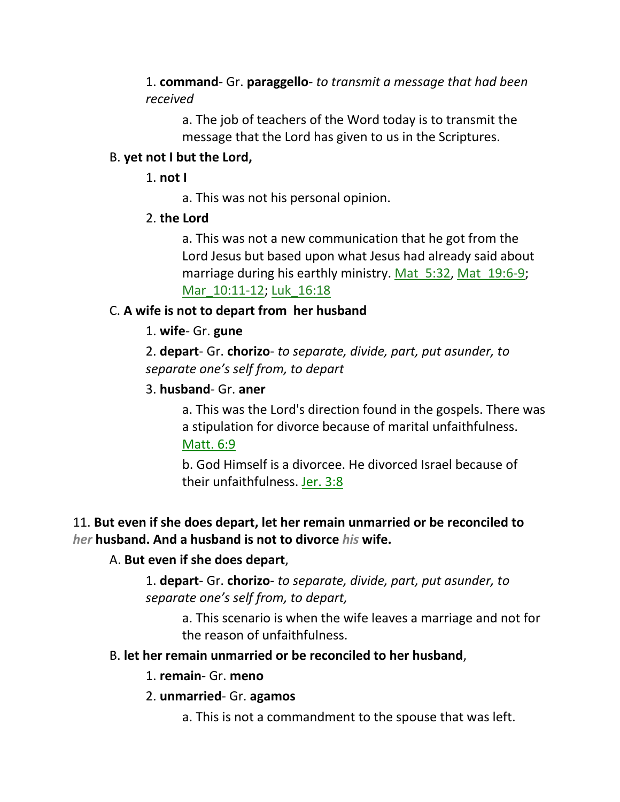1. **command**- Gr. **paraggello**- *to transmit a message that had been received*

a. The job of teachers of the Word today is to transmit the message that the Lord has given to us in the Scriptures.

#### B. **yet not I but the Lord,**

1. **not I**

a. This was not his personal opinion.

2. **the Lord**

a. This was not a new communication that he got from the Lord Jesus but based upon what Jesus had already said about marriage during his earthly ministry. Mat 5:32, Mat 19:6-9; Mar\_10:11-12; Luk\_16:18

### C. **A wife is not to depart from her husband**

#### 1. **wife**- Gr. **gune**

2. **depart**- Gr. **chorizo**- *to separate, divide, part, put asunder, to separate one's self from, to depart*

#### 3. **husband**- Gr. **aner**

a. This was the Lord's direction found in the gospels. There was a stipulation for divorce because of marital unfaithfulness. Matt. 6:9

b. God Himself is a divorcee. He divorced Israel because of their unfaithfulness. Jer. 3:8

## 11. **But even if she does depart, let her remain unmarried or be reconciled to**  *her* **husband. And a husband is not to divorce** *his* **wife.**

### A. **But even if she does depart**,

1. **depart**- Gr. **chorizo**- *to separate, divide, part, put asunder, to separate one's self from, to depart,* 

> a. This scenario is when the wife leaves a marriage and not for the reason of unfaithfulness.

### B. **let her remain unmarried or be reconciled to her husband**,

- 1. **remain** Gr. **meno**
- 2. **unmarried** Gr. **agamos**
	- a. This is not a commandment to the spouse that was left.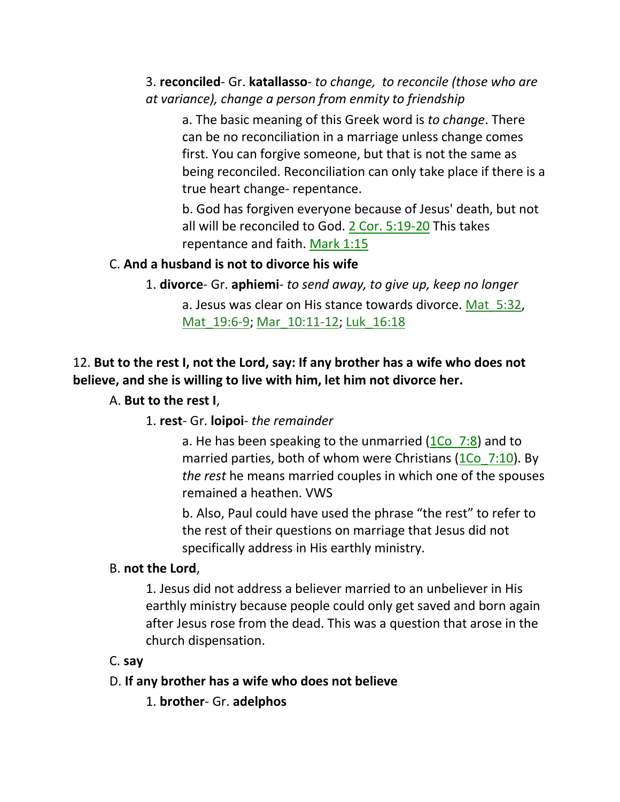## 3. **reconciled**- Gr. **katallasso**- *to change, to reconcile (those who are at variance), change a person from enmity to friendship*

a. The basic meaning of this Greek word is *to change*. There can be no reconciliation in a marriage unless change comes first. You can forgive someone, but that is not the same as being reconciled. Reconciliation can only take place if there is a true heart change- repentance.

b. God has forgiven everyone because of Jesus' death, but not all will be reconciled to God. 2 Cor. 5:19-20 This takes repentance and faith. Mark 1:15

### C. **And a husband is not to divorce his wife**

1. **divorce**- Gr. **aphiemi**- *to send away, to give up, keep no longer* a. Jesus was clear on His stance towards divorce. Mat\_5:32, Mat 19:6-9; Mar 10:11-12; Luk 16:18

### 12. **But to the rest I, not the Lord, say: If any brother has a wife who does not believe, and she is willing to live with him, let him not divorce her.**

### A. **But to the rest I**,

1. **rest**- Gr. **loipoi**- *the remainder*

a. He has been speaking to the unmarried  $(1Co<sub>7:8</sub>)$  and to married parties, both of whom were Christians  $(1Co<sub>7</sub>:10)$ . By *the rest* he means married couples in which one of the spouses remained a heathen. VWS

b. Also, Paul could have used the phrase "the rest" to refer to the rest of their questions on marriage that Jesus did not specifically address in His earthly ministry.

#### B. **not the Lord**,

1. Jesus did not address a believer married to an unbeliever in His earthly ministry because people could only get saved and born again after Jesus rose from the dead. This was a question that arose in the church dispensation.

#### C. **say**

### D. **If any brother has a wife who does not believe**

1. **brother**- Gr. **adelphos**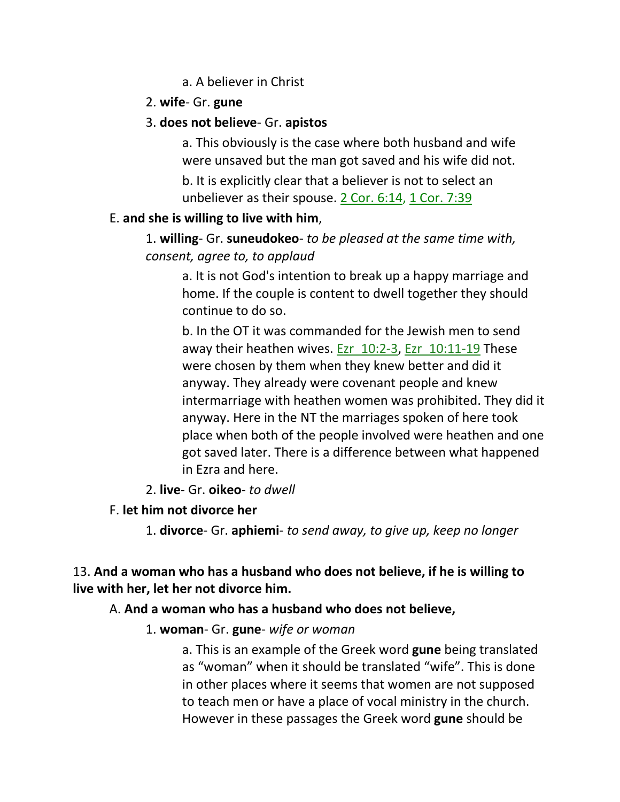### a. A believer in Christ

### 2. **wife**- Gr. **gune**

### 3. **does not believe**- Gr. **apistos**

a. This obviously is the case where both husband and wife were unsaved but the man got saved and his wife did not.

b. It is explicitly clear that a believer is not to select an unbeliever as their spouse. 2 Cor. 6:14, 1 Cor. 7:39

### E. **and she is willing to live with him**,

1. **willing**- Gr. **suneudokeo**- *to be pleased at the same time with, consent, agree to, to applaud*

a. It is not God's intention to break up a happy marriage and home. If the couple is content to dwell together they should continue to do so.

b. In the OT it was commanded for the Jewish men to send away their heathen wives. Ezr 10:2-3, Ezr 10:11-19 These were chosen by them when they knew better and did it anyway. They already were covenant people and knew intermarriage with heathen women was prohibited. They did it anyway. Here in the NT the marriages spoken of here took place when both of the people involved were heathen and one got saved later. There is a difference between what happened in Ezra and here.

### 2. **live**- Gr. **oikeo**- *to dwell*

## F. **let him not divorce her**

1. **divorce**- Gr. **aphiemi**- *to send away, to give up, keep no longer*

## 13. **And a woman who has a husband who does not believe, if he is willing to live with her, let her not divorce him.**

## A. **And a woman who has a husband who does not believe,**

## 1. **woman**- Gr. **gune**- *wife or woman*

a. This is an example of the Greek word **gune** being translated as "woman" when it should be translated "wife". This is done in other places where it seems that women are not supposed to teach men or have a place of vocal ministry in the church. However in these passages the Greek word **gune** should be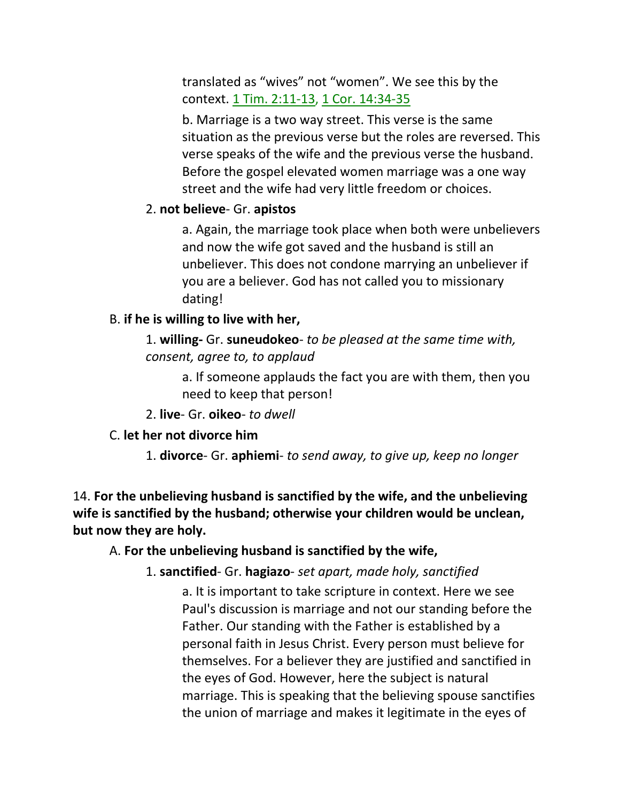translated as "wives" not "women". We see this by the context. 1 Tim. 2:11-13, 1 Cor. 14:34-35

b. Marriage is a two way street. This verse is the same situation as the previous verse but the roles are reversed. This verse speaks of the wife and the previous verse the husband. Before the gospel elevated women marriage was a one way street and the wife had very little freedom or choices.

#### 2. **not believe**- Gr. **apistos**

a. Again, the marriage took place when both were unbelievers and now the wife got saved and the husband is still an unbeliever. This does not condone marrying an unbeliever if you are a believer. God has not called you to missionary dating!

#### B. **if he is willing to live with her,**

1. **willing-** Gr. **suneudokeo**- *to be pleased at the same time with, consent, agree to, to applaud*

a. If someone applauds the fact you are with them, then you need to keep that person!

2. **live**- Gr. **oikeo**- *to dwell*

#### C. **let her not divorce him**

1. **divorce**- Gr. **aphiemi**- *to send away, to give up, keep no longer*

14. **For the unbelieving husband is sanctified by the wife, and the unbelieving wife is sanctified by the husband; otherwise your children would be unclean, but now they are holy.** 

#### A. **For the unbelieving husband is sanctified by the wife,**

#### 1. **sanctified**- Gr. **hagiazo**- *set apart, made holy, sanctified*

a. It is important to take scripture in context. Here we see Paul's discussion is marriage and not our standing before the Father. Our standing with the Father is established by a personal faith in Jesus Christ. Every person must believe for themselves. For a believer they are justified and sanctified in the eyes of God. However, here the subject is natural marriage. This is speaking that the believing spouse sanctifies the union of marriage and makes it legitimate in the eyes of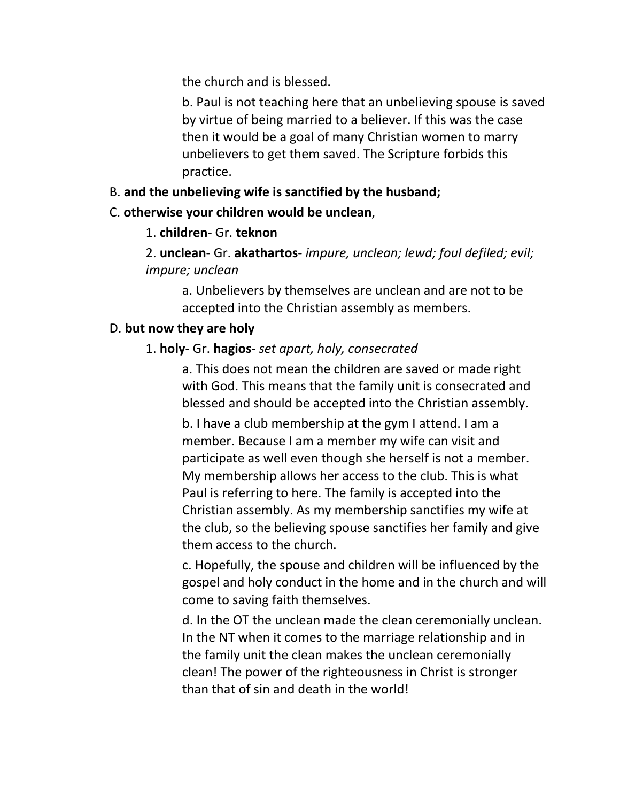the church and is blessed.

b. Paul is not teaching here that an unbelieving spouse is saved by virtue of being married to a believer. If this was the case then it would be a goal of many Christian women to marry unbelievers to get them saved. The Scripture forbids this practice.

## B. **and the unbelieving wife is sanctified by the husband;**

### C. **otherwise your children would be unclean**,

## 1. **children**- Gr. **teknon**

2. **unclean**- Gr. **akathartos**- *impure, unclean; lewd; foul defiled; evil; impure; unclean*

a. Unbelievers by themselves are unclean and are not to be accepted into the Christian assembly as members.

## D. **but now they are holy**

## 1. **holy**- Gr. **hagios**- *set apart, holy, consecrated*

a. This does not mean the children are saved or made right with God. This means that the family unit is consecrated and blessed and should be accepted into the Christian assembly.

b. I have a club membership at the gym I attend. I am a member. Because I am a member my wife can visit and participate as well even though she herself is not a member. My membership allows her access to the club. This is what Paul is referring to here. The family is accepted into the Christian assembly. As my membership sanctifies my wife at the club, so the believing spouse sanctifies her family and give them access to the church.

c. Hopefully, the spouse and children will be influenced by the gospel and holy conduct in the home and in the church and will come to saving faith themselves.

d. In the OT the unclean made the clean ceremonially unclean. In the NT when it comes to the marriage relationship and in the family unit the clean makes the unclean ceremonially clean! The power of the righteousness in Christ is stronger than that of sin and death in the world!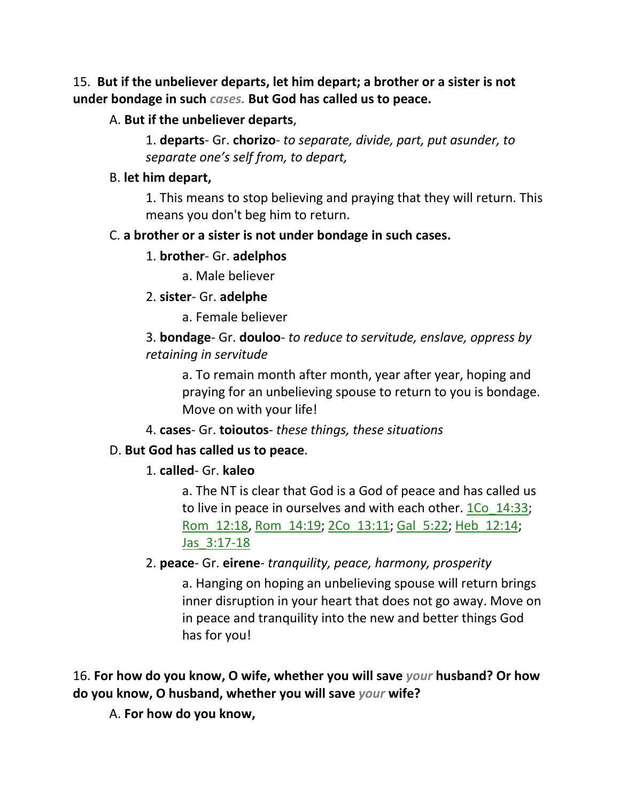15. **But if the unbeliever departs, let him depart; a brother or a sister is not under bondage in such** *cases.* **But God has called us to peace.** 

### A. **But if the unbeliever departs**,

1. **departs**- Gr. **chorizo**- *to separate, divide, part, put asunder, to separate one's self from, to depart,* 

#### B. **let him depart,**

1. This means to stop believing and praying that they will return. This means you don't beg him to return.

#### C. **a brother or a sister is not under bondage in such cases.**

#### 1. **brother**- Gr. **adelphos**

a. Male believer

#### 2. **sister**- Gr. **adelphe**

a. Female believer

3. **bondage**- Gr. **douloo**- *to reduce to servitude, enslave, oppress by retaining in servitude*

a. To remain month after month, year after year, hoping and praying for an unbelieving spouse to return to you is bondage. Move on with your life!

### 4. **cases**- Gr. **toioutos**- *these things, these situations*

### D. **But God has called us to peace**.

### 1. **called**- Gr. **kaleo**

a. The NT is clear that God is a God of peace and has called us to live in peace in ourselves and with each other. 1Co\_14:33; Rom\_12:18, Rom\_14:19; 2Co\_13:11; Gal\_5:22; Heb\_12:14; Jas\_3:17-18

## 2. **peace**- Gr. **eirene**- *tranquility, peace, harmony, prosperity*

a. Hanging on hoping an unbelieving spouse will return brings inner disruption in your heart that does not go away. Move on in peace and tranquility into the new and better things God has for you!

## 16. **For how do you know, O wife, whether you will save** *your* **husband? Or how do you know, O husband, whether you will save** *your* **wife?**

A. **For how do you know,**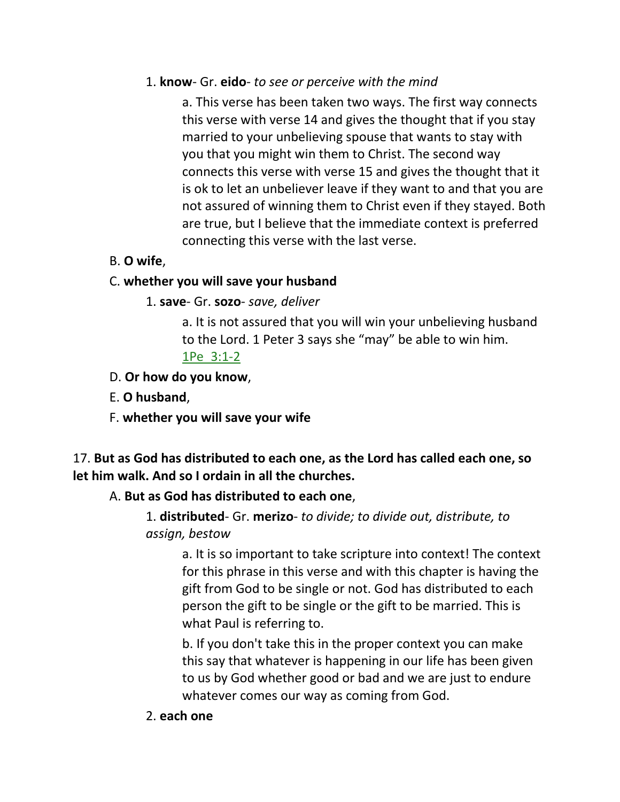### 1. **know**- Gr. **eido**- *to see or perceive with the mind*

a. This verse has been taken two ways. The first way connects this verse with verse 14 and gives the thought that if you stay married to your unbelieving spouse that wants to stay with you that you might win them to Christ. The second way connects this verse with verse 15 and gives the thought that it is ok to let an unbeliever leave if they want to and that you are not assured of winning them to Christ even if they stayed. Both are true, but I believe that the immediate context is preferred connecting this verse with the last verse.

## B. **O wife**,

### C. **whether you will save your husband**

### 1. **save**- Gr. **sozo**- *save, deliver*

a. It is not assured that you will win your unbelieving husband to the Lord. 1 Peter 3 says she "may" be able to win him. 1Pe\_3:1-2

### D. **Or how do you know**,

E. **O husband**,

F. **whether you will save your wife**

17. **But as God has distributed to each one, as the Lord has called each one, so let him walk. And so I ordain in all the churches.** 

## A. **But as God has distributed to each one**,

1. **distributed**- Gr. **merizo**- *to divide; to divide out, distribute, to assign, bestow* 

a. It is so important to take scripture into context! The context for this phrase in this verse and with this chapter is having the gift from God to be single or not. God has distributed to each person the gift to be single or the gift to be married. This is what Paul is referring to.

b. If you don't take this in the proper context you can make this say that whatever is happening in our life has been given to us by God whether good or bad and we are just to endure whatever comes our way as coming from God.

### 2. **each one**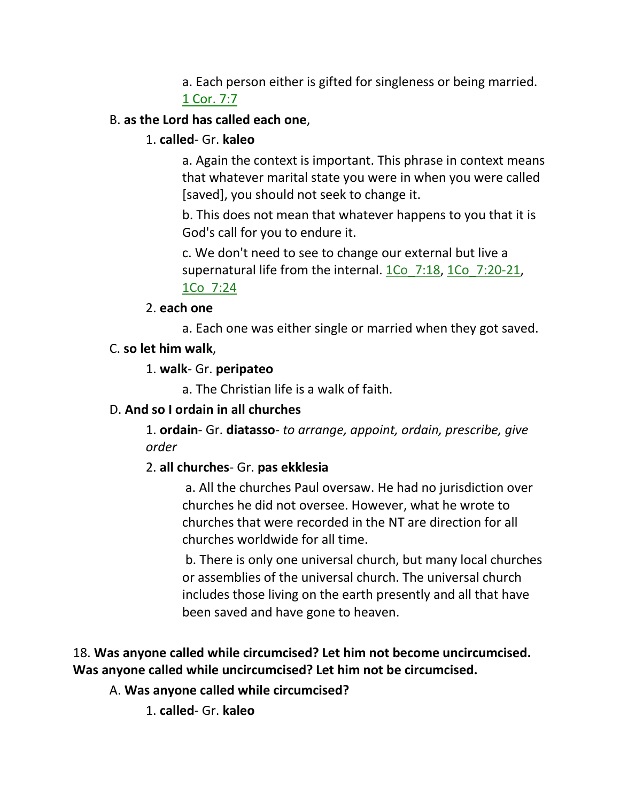a. Each person either is gifted for singleness or being married. 1 Cor. 7:7

## B. **as the Lord has called each one**,

### 1. **called**- Gr. **kaleo**

a. Again the context is important. This phrase in context means that whatever marital state you were in when you were called [saved], you should not seek to change it.

b. This does not mean that whatever happens to you that it is God's call for you to endure it.

c. We don't need to see to change our external but live a supernatural life from the internal. 1Co 7:18, 1Co 7:20-21, 1Co\_7:24

#### 2. **each one**

a. Each one was either single or married when they got saved.

### C. **so let him walk**,

1. **walk**- Gr. **peripateo**

a. The Christian life is a walk of faith.

## D. **And so I ordain in all churches**

1. **ordain**- Gr. **diatasso**- *to arrange, appoint, ordain, prescribe, give order*

## 2. **all churches**- Gr. **pas ekklesia**

a. All the churches Paul oversaw. He had no jurisdiction over churches he did not oversee. However, what he wrote to churches that were recorded in the NT are direction for all churches worldwide for all time.

b. There is only one universal church, but many local churches or assemblies of the universal church. The universal church includes those living on the earth presently and all that have been saved and have gone to heaven.

## 18. **Was anyone called while circumcised? Let him not become uncircumcised. Was anyone called while uncircumcised? Let him not be circumcised.**

## A. **Was anyone called while circumcised?**

1. **called**- Gr. **kaleo**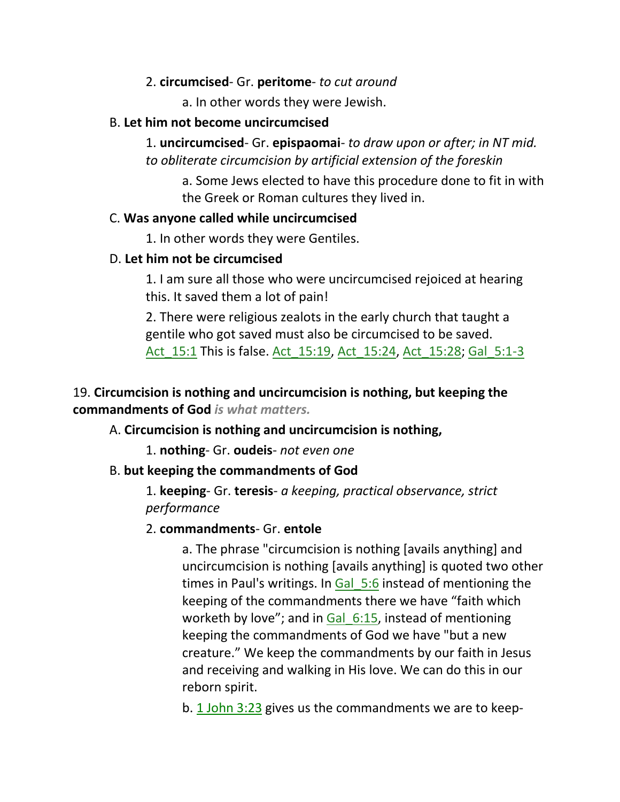### 2. **circumcised**- Gr. **peritome**- *to cut around*

a. In other words they were Jewish.

#### B. **Let him not become uncircumcised**

1. **uncircumcised**- Gr. **epispaomai**- *to draw upon or after; in NT mid. to obliterate circumcision by artificial extension of the foreskin*

a. Some Jews elected to have this procedure done to fit in with the Greek or Roman cultures they lived in.

#### C. **Was anyone called while uncircumcised**

1. In other words they were Gentiles.

### D. **Let him not be circumcised**

1. I am sure all those who were uncircumcised rejoiced at hearing this. It saved them a lot of pain!

2. There were religious zealots in the early church that taught a gentile who got saved must also be circumcised to be saved. Act 15:1 This is false. Act 15:19, Act 15:24, Act 15:28; Gal 5:1-3

## 19. **Circumcision is nothing and uncircumcision is nothing, but keeping the commandments of God** *is what matters.*

A. **Circumcision is nothing and uncircumcision is nothing,**

1. **nothing**- Gr. **oudeis**- *not even one*

### B. **but keeping the commandments of God**

1. **keeping**- Gr. **teresis**- *a keeping, practical observance, strict performance*

### 2. **commandments**- Gr. **entole**

a. The phrase "circumcision is nothing [avails anything] and uncircumcision is nothing [avails anything] is quoted two other times in Paul's writings. In Gal 5:6 instead of mentioning the keeping of the commandments there we have "faith which worketh by love"; and in Gal 6:15, instead of mentioning keeping the commandments of God we have "but a new creature." We keep the commandments by our faith in Jesus and receiving and walking in His love. We can do this in our reborn spirit.

b. 1 John 3:23 gives us the commandments we are to keep-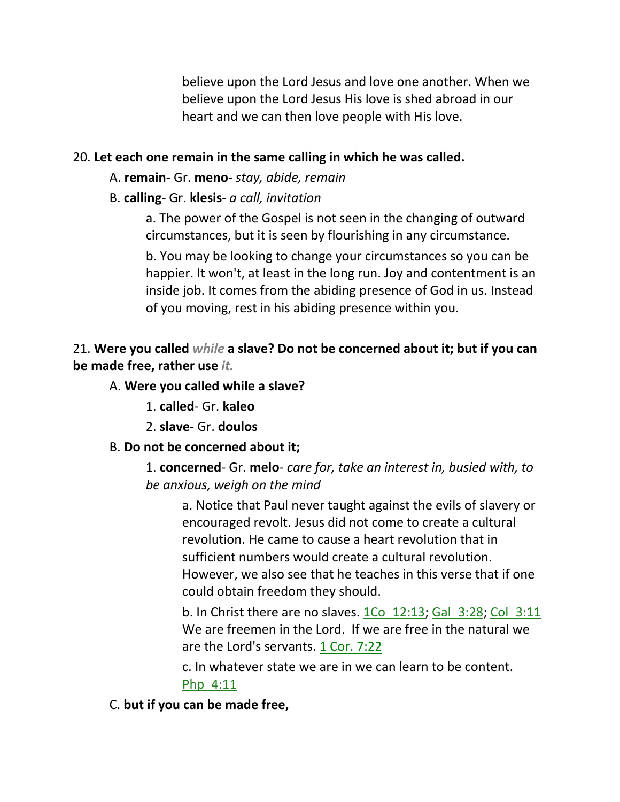believe upon the Lord Jesus and love one another. When we believe upon the Lord Jesus His love is shed abroad in our heart and we can then love people with His love.

### 20. **Let each one remain in the same calling in which he was called.**

- A. **remain** Gr. **meno** *stay, abide, remain*
- B. **calling-** Gr. **klesis** *a call, invitation*

a. The power of the Gospel is not seen in the changing of outward circumstances, but it is seen by flourishing in any circumstance.

b. You may be looking to change your circumstances so you can be happier. It won't, at least in the long run. Joy and contentment is an inside job. It comes from the abiding presence of God in us. Instead of you moving, rest in his abiding presence within you.

## 21. **Were you called** *while* **a slave? Do not be concerned about it; but if you can be made free, rather use** *it.*

### A. **Were you called while a slave?**

- 1. **called** Gr. **kaleo**
- 2. **slave** Gr. **doulos**

### B. **Do not be concerned about it;**

1. **concerned**- Gr. **melo**- *care for, take an interest in, busied with, to be anxious, weigh on the mind*

a. Notice that Paul never taught against the evils of slavery or encouraged revolt. Jesus did not come to create a cultural revolution. He came to cause a heart revolution that in sufficient numbers would create a cultural revolution. However, we also see that he teaches in this verse that if one could obtain freedom they should.

b. In Christ there are no slaves. 1Co 12:13; Gal 3:28; Col 3:11 We are freemen in the Lord. If we are free in the natural we are the Lord's servants. 1 Cor. 7:22

c. In whatever state we are in we can learn to be content. Php\_4:11

### C. **but if you can be made free,**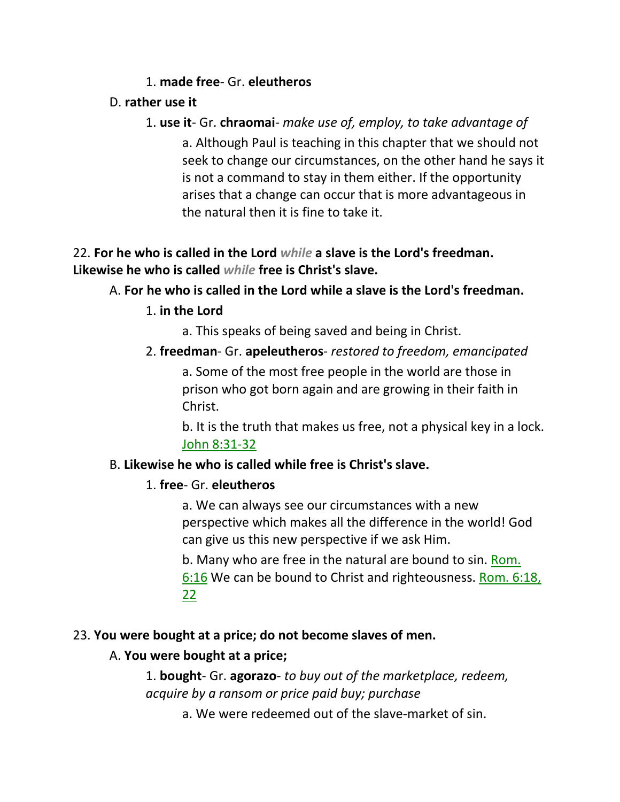### 1. **made free**- Gr. **eleutheros**

### D. **rather use it**

1. **use it**- Gr. **chraomai**- *make use of, employ, to take advantage of* a. Although Paul is teaching in this chapter that we should not seek to change our circumstances, on the other hand he says it is not a command to stay in them either. If the opportunity arises that a change can occur that is more advantageous in the natural then it is fine to take it.

## 22. **For he who is called in the Lord** *while* **a slave is the Lord's freedman. Likewise he who is called** *while* **free is Christ's slave.**

## A. **For he who is called in the Lord while a slave is the Lord's freedman.**

### 1. **in the Lord**

a. This speaks of being saved and being in Christ.

## 2. **freedman**- Gr. **apeleutheros**- *restored to freedom, emancipated* a. Some of the most free people in the world are those in prison who got born again and are growing in their faith in Christ.

b. It is the truth that makes us free, not a physical key in a lock. John 8:31-32

### B. **Likewise he who is called while free is Christ's slave.**

### 1. **free**- Gr. **eleutheros**

a. We can always see our circumstances with a new perspective which makes all the difference in the world! God can give us this new perspective if we ask Him.

b. Many who are free in the natural are bound to sin. Rom. 6:16 We can be bound to Christ and righteousness. Rom. 6:18, 22

## 23. **You were bought at a price; do not become slaves of men.**

## A. **You were bought at a price;**

1. **bought**- Gr. **agorazo**- *to buy out of the marketplace, redeem, acquire by a ransom or price paid buy; purchase*

a. We were redeemed out of the slave-market of sin.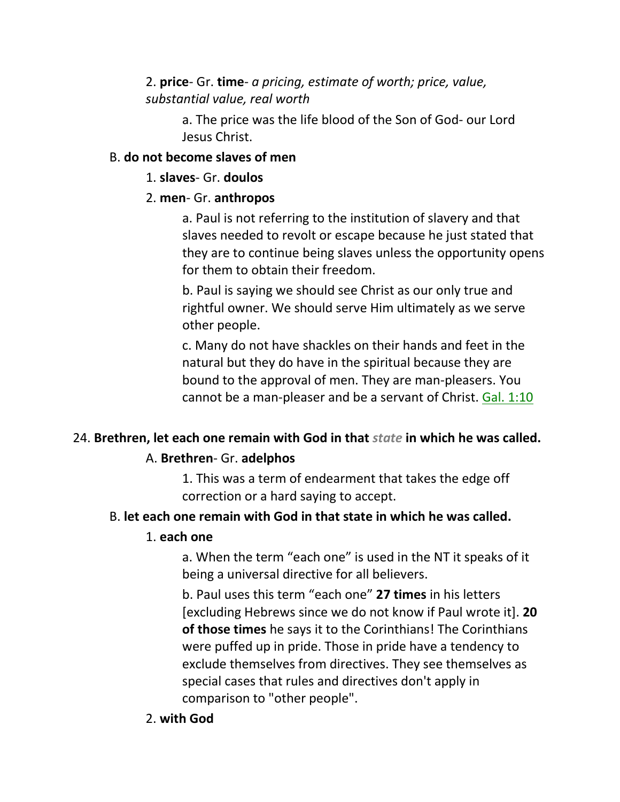## 2. **price**- Gr. **time**- *a pricing, estimate of worth; price, value, substantial value, real worth*

a. The price was the life blood of the Son of God- our Lord Jesus Christ.

#### B. **do not become slaves of men**

#### 1. **slaves**- Gr. **doulos**

### 2. **men**- Gr. **anthropos**

a. Paul is not referring to the institution of slavery and that slaves needed to revolt or escape because he just stated that they are to continue being slaves unless the opportunity opens for them to obtain their freedom.

b. Paul is saying we should see Christ as our only true and rightful owner. We should serve Him ultimately as we serve other people.

c. Many do not have shackles on their hands and feet in the natural but they do have in the spiritual because they are bound to the approval of men. They are man-pleasers. You cannot be a man-pleaser and be a servant of Christ. Gal. 1:10

## 24. **Brethren, let each one remain with God in that** *state* **in which he was called.**

### A. **Brethren**- Gr. **adelphos**

1. This was a term of endearment that takes the edge off correction or a hard saying to accept.

### B. **let each one remain with God in that state in which he was called.**

#### 1. **each one**

a. When the term "each one" is used in the NT it speaks of it being a universal directive for all believers.

b. Paul uses this term "each one" **27 times** in his letters [excluding Hebrews since we do not know if Paul wrote it]. **20 of those times** he says it to the Corinthians! The Corinthians were puffed up in pride. Those in pride have a tendency to exclude themselves from directives. They see themselves as special cases that rules and directives don't apply in comparison to "other people".

2. **with God**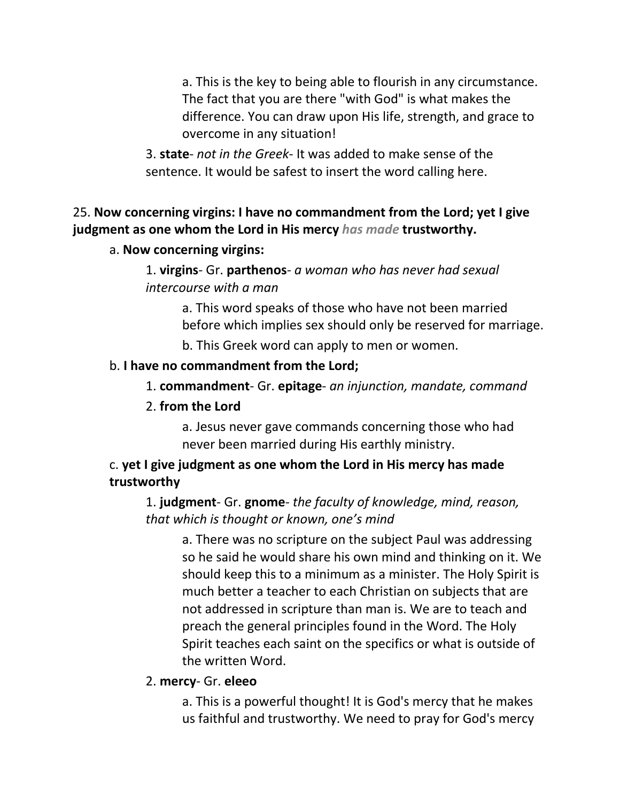a. This is the key to being able to flourish in any circumstance. The fact that you are there "with God" is what makes the difference. You can draw upon His life, strength, and grace to overcome in any situation!

3. **state**- *not in the Greek*- It was added to make sense of the sentence. It would be safest to insert the word calling here.

## 25. **Now concerning virgins: I have no commandment from the Lord; yet I give judgment as one whom the Lord in His mercy** *has made* **trustworthy.**

### a. **Now concerning virgins:**

1. **virgins**- Gr. **parthenos**- *a woman who has never had sexual intercourse with a man*

> a. This word speaks of those who have not been married before which implies sex should only be reserved for marriage.

b. This Greek word can apply to men or women.

### b. **I have no commandment from the Lord;**

## 1. **commandment**- Gr. **epitage**- *an injunction, mandate, command*

### 2. **from the Lord**

a. Jesus never gave commands concerning those who had never been married during His earthly ministry.

## c. **yet I give judgment as one whom the Lord in His mercy has made trustworthy**

1. **judgment**- Gr. **gnome**- *the faculty of knowledge, mind, reason, that which is thought or known, one's mind*

a. There was no scripture on the subject Paul was addressing so he said he would share his own mind and thinking on it. We should keep this to a minimum as a minister. The Holy Spirit is much better a teacher to each Christian on subjects that are not addressed in scripture than man is. We are to teach and preach the general principles found in the Word. The Holy Spirit teaches each saint on the specifics or what is outside of the written Word.

### 2. **mercy**- Gr. **eleeo**

a. This is a powerful thought! It is God's mercy that he makes us faithful and trustworthy. We need to pray for God's mercy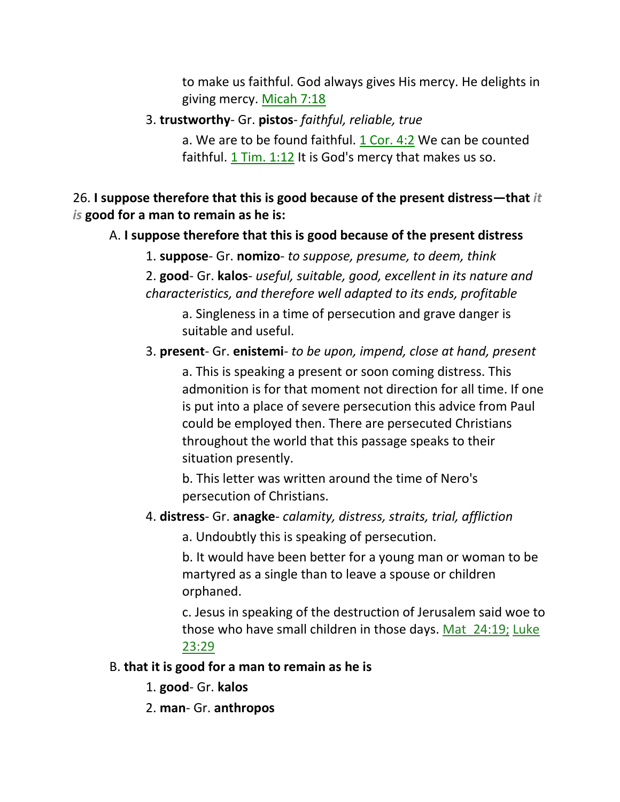to make us faithful. God always gives His mercy. He delights in giving mercy. Micah 7:18

3. **trustworthy**- Gr. **pistos**- *faithful, reliable, true*

a. We are to be found faithful. 1 Cor. 4:2 We can be counted faithful. 1 Tim. 1:12 It is God's mercy that makes us so.

26. **I suppose therefore that this is good because of the present distress—that** *it is* **good for a man to remain as he is:**

A. **I suppose therefore that this is good because of the present distress**

1. **suppose**- Gr. **nomizo**- *to suppose, presume, to deem, think* 2. **good**- Gr. **kalos**- *useful, suitable, good, excellent in its nature and characteristics, and therefore well adapted to its ends, profitable*

a. Singleness in a time of persecution and grave danger is suitable and useful.

3. **present**- Gr. **enistemi**- *to be upon, impend, close at hand, present*

a. This is speaking a present or soon coming distress. This admonition is for that moment not direction for all time. If one is put into a place of severe persecution this advice from Paul could be employed then. There are persecuted Christians throughout the world that this passage speaks to their situation presently.

b. This letter was written around the time of Nero's persecution of Christians.

4. **distress**- Gr. **anagke**- *calamity, distress, straits, trial, affliction*

a. Undoubtly this is speaking of persecution.

b. It would have been better for a young man or woman to be martyred as a single than to leave a spouse or children orphaned.

c. Jesus in speaking of the destruction of Jerusalem said woe to those who have small children in those days. Mat\_24:19; Luke 23:29

## B. **that it is good for a man to remain as he is**

- 1. **good** Gr. **kalos**
- 2. **man** Gr. **anthropos**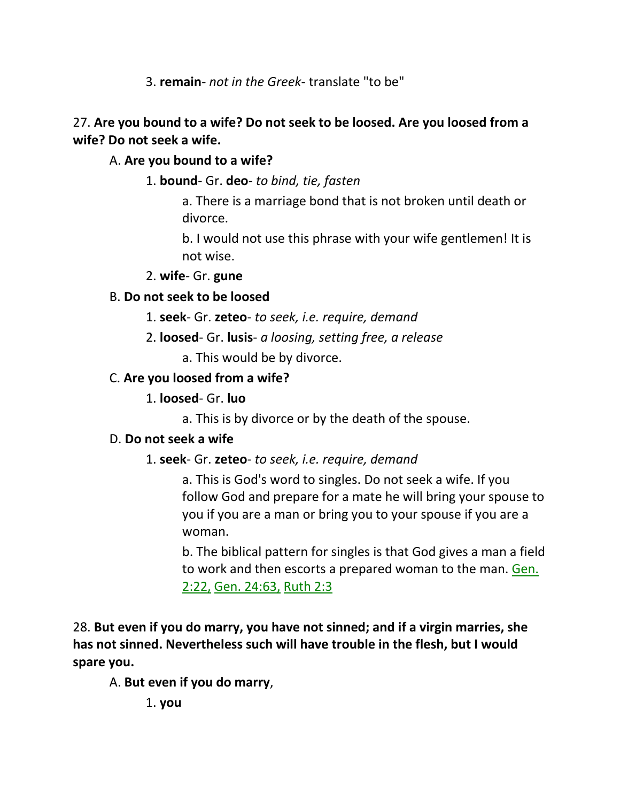3. **remain**- *not in the Greek*- translate "to be"

## 27. **Are you bound to a wife? Do not seek to be loosed. Are you loosed from a wife? Do not seek a wife.**

## A. **Are you bound to a wife?**

1. **bound**- Gr. **deo**- *to bind, tie, fasten*

a. There is a marriage bond that is not broken until death or divorce.

b. I would not use this phrase with your wife gentlemen! It is not wise.

2. **wife**- Gr. **gune**

## B. **Do not seek to be loosed**

- 1. **seek** Gr. **zeteo** *to seek, i.e. require, demand*
- 2. **loosed** Gr. **lusis** *a loosing, setting free, a release*

a. This would be by divorce.

## C. **Are you loosed from a wife?**

## 1. **loosed**- Gr. **luo**

a. This is by divorce or by the death of the spouse.

## D. **Do not seek a wife**

1. **seek**- Gr. **zeteo**- *to seek, i.e. require, demand*

a. This is God's word to singles. Do not seek a wife. If you follow God and prepare for a mate he will bring your spouse to you if you are a man or bring you to your spouse if you are a woman.

b. The biblical pattern for singles is that God gives a man a field to work and then escorts a prepared woman to the man. Gen. 2:22, Gen. 24:63, Ruth 2:3

28. **But even if you do marry, you have not sinned; and if a virgin marries, she has not sinned. Nevertheless such will have trouble in the flesh, but I would spare you.** 

## A. **But even if you do marry**,

1. **you**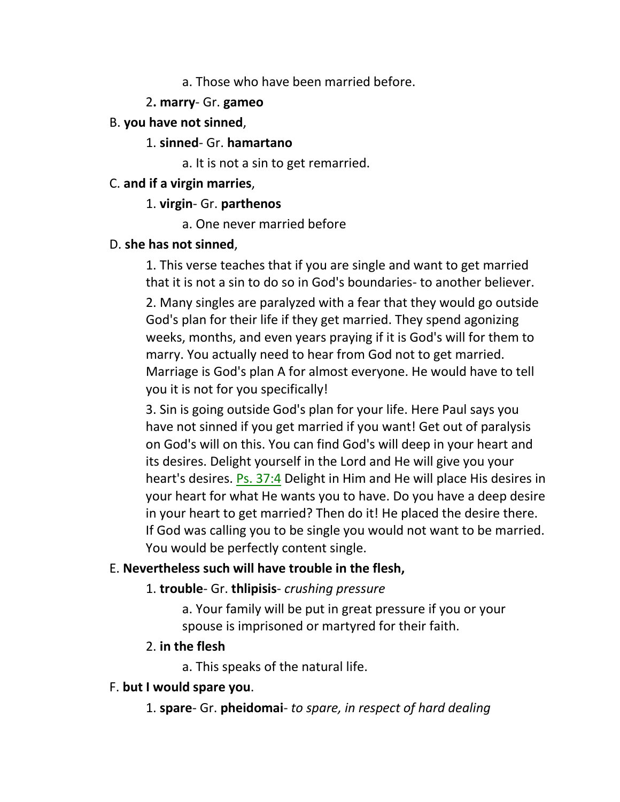#### a. Those who have been married before.

#### 2**. marry**- Gr. **gameo**

### B. **you have not sinned**,

#### 1. **sinned**- Gr. **hamartano**

a. It is not a sin to get remarried.

#### C. **and if a virgin marries**,

### 1. **virgin**- Gr. **parthenos**

a. One never married before

### D. **she has not sinned**,

1. This verse teaches that if you are single and want to get married that it is not a sin to do so in God's boundaries- to another believer. 2. Many singles are paralyzed with a fear that they would go outside God's plan for their life if they get married. They spend agonizing weeks, months, and even years praying if it is God's will for them to marry. You actually need to hear from God not to get married. Marriage is God's plan A for almost everyone. He would have to tell you it is not for you specifically!

3. Sin is going outside God's plan for your life. Here Paul says you have not sinned if you get married if you want! Get out of paralysis on God's will on this. You can find God's will deep in your heart and its desires. Delight yourself in the Lord and He will give you your heart's desires. Ps. 37:4 Delight in Him and He will place His desires in your heart for what He wants you to have. Do you have a deep desire in your heart to get married? Then do it! He placed the desire there. If God was calling you to be single you would not want to be married. You would be perfectly content single.

## E. **Nevertheless such will have trouble in the flesh,**

### 1. **trouble**- Gr. **thlipisis**- *crushing pressure*

a. Your family will be put in great pressure if you or your spouse is imprisoned or martyred for their faith.

### 2. **in the flesh**

a. This speaks of the natural life.

### F. **but I would spare you**.

1. **spare**- Gr. **pheidomai**- *to spare, in respect of hard dealing*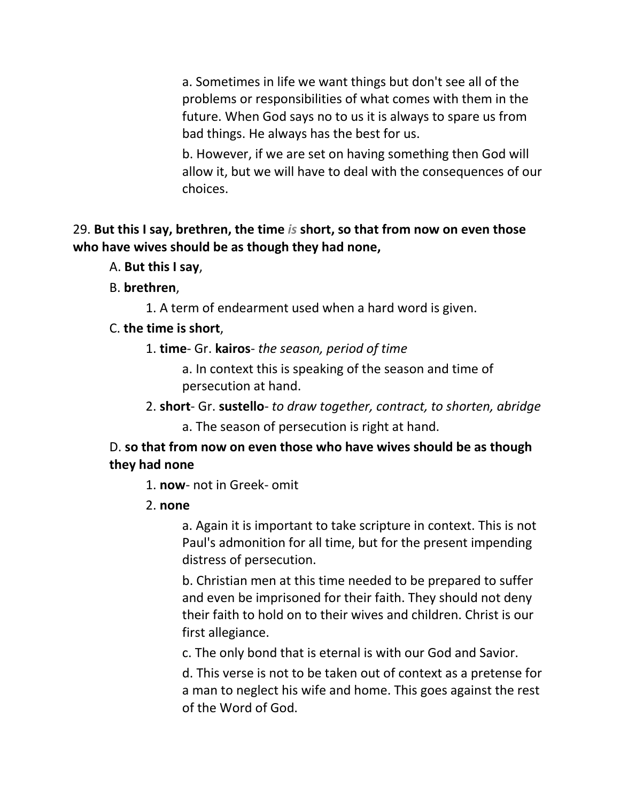a. Sometimes in life we want things but don't see all of the problems or responsibilities of what comes with them in the future. When God says no to us it is always to spare us from bad things. He always has the best for us.

b. However, if we are set on having something then God will allow it, but we will have to deal with the consequences of our choices.

29. **But this I say, brethren, the time** *is* **short, so that from now on even those who have wives should be as though they had none,**

- A. **But this I say**,
- B. **brethren**,

1. A term of endearment used when a hard word is given.

#### C. **the time is short**,

1. **time**- Gr. **kairos**- *the season, period of time*

a. In context this is speaking of the season and time of persecution at hand.

2. **short**- Gr. **sustello**- *to draw together, contract, to shorten, abridge*

a. The season of persecution is right at hand.

#### D. **so that from now on even those who have wives should be as though they had none**

1. **now**- not in Greek- omit

#### 2. **none**

a. Again it is important to take scripture in context. This is not Paul's admonition for all time, but for the present impending distress of persecution.

b. Christian men at this time needed to be prepared to suffer and even be imprisoned for their faith. They should not deny their faith to hold on to their wives and children. Christ is our first allegiance.

c. The only bond that is eternal is with our God and Savior.

d. This verse is not to be taken out of context as a pretense for a man to neglect his wife and home. This goes against the rest of the Word of God.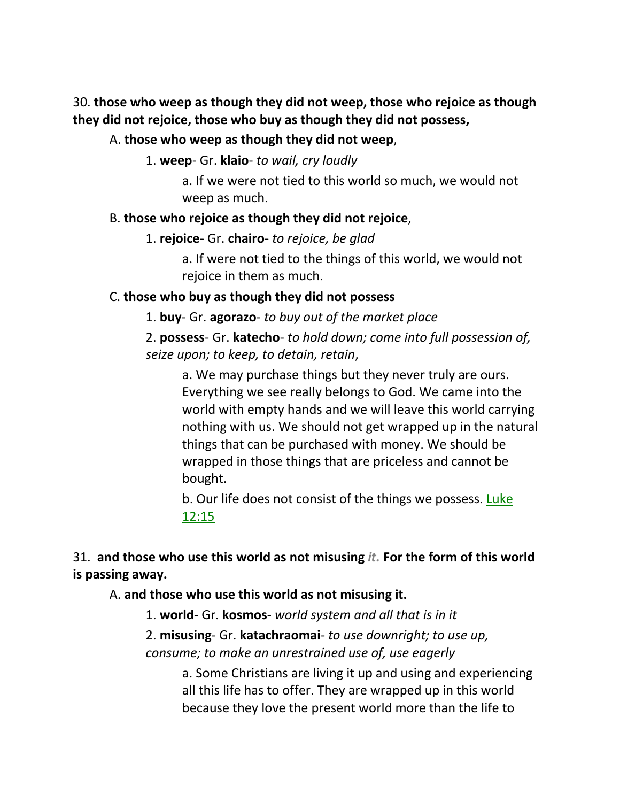30. **those who weep as though they did not weep, those who rejoice as though they did not rejoice, those who buy as though they did not possess,** 

#### A. **those who weep as though they did not weep**,

1. **weep**- Gr. **klaio**- *to wail, cry loudly*

a. If we were not tied to this world so much, we would not weep as much.

#### B. **those who rejoice as though they did not rejoice**,

1. **rejoice**- Gr. **chairo**- *to rejoice, be glad*

a. If were not tied to the things of this world, we would not rejoice in them as much.

### C. **those who buy as though they did not possess**

1. **buy**- Gr. **agorazo**- *to buy out of the market place*

2. **possess**- Gr. **katecho**- *to hold down; come into full possession of, seize upon; to keep, to detain, retain*,

a. We may purchase things but they never truly are ours. Everything we see really belongs to God. We came into the world with empty hands and we will leave this world carrying nothing with us. We should not get wrapped up in the natural things that can be purchased with money. We should be wrapped in those things that are priceless and cannot be bought.

b. Our life does not consist of the things we possess. Luke 12:15

31. **and those who use this world as not misusing** *it.* **For the form of this world is passing away.** 

A. **and those who use this world as not misusing it.**

1. **world**- Gr. **kosmos**- *world system and all that is in it*

2. **misusing**- Gr. **katachraomai**- *to use downright; to use up, consume; to make an unrestrained use of, use eagerly*

> a. Some Christians are living it up and using and experiencing all this life has to offer. They are wrapped up in this world because they love the present world more than the life to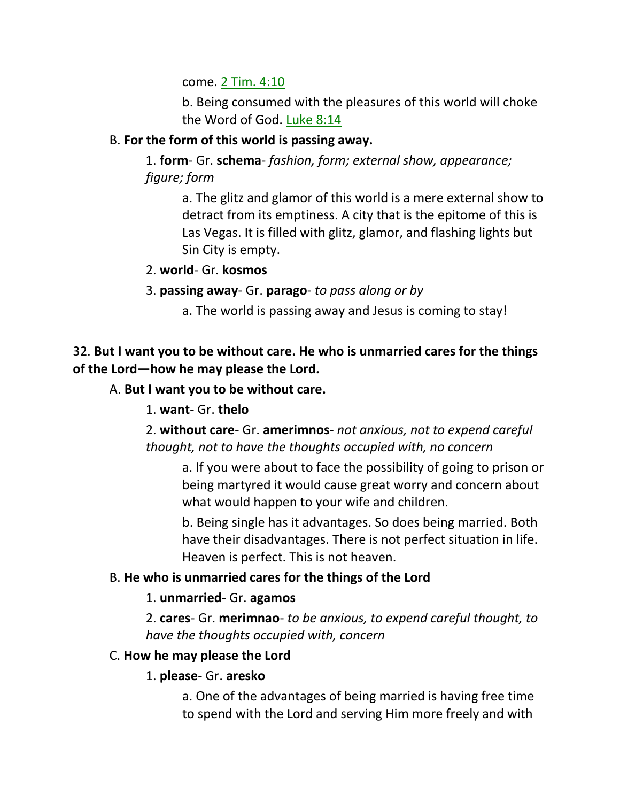come. 2 Tim. 4:10

b. Being consumed with the pleasures of this world will choke the Word of God. Luke 8:14

## B. **For the form of this world is passing away.**

1. **form**- Gr. **schema**- *fashion, form; external show, appearance; figure; form*

> a. The glitz and glamor of this world is a mere external show to detract from its emptiness. A city that is the epitome of this is Las Vegas. It is filled with glitz, glamor, and flashing lights but Sin City is empty.

2. **world**- Gr. **kosmos**

3. **passing away**- Gr. **parago**- *to pass along or by*

a. The world is passing away and Jesus is coming to stay!

## 32. **But I want you to be without care. He who is unmarried cares for the things of the Lord—how he may please the Lord.**

A. **But I want you to be without care.**

1. **want**- Gr. **thelo**

2. **without care**- Gr. **amerimnos**- *not anxious, not to expend careful thought, not to have the thoughts occupied with, no concern*

a. If you were about to face the possibility of going to prison or being martyred it would cause great worry and concern about what would happen to your wife and children.

b. Being single has it advantages. So does being married. Both have their disadvantages. There is not perfect situation in life. Heaven is perfect. This is not heaven.

## B. **He who is unmarried cares for the things of the Lord**

## 1. **unmarried**- Gr. **agamos**

2. **cares**- Gr. **merimnao**- *to be anxious, to expend careful thought, to have the thoughts occupied with, concern*

## C. **How he may please the Lord**

## 1. **please**- Gr. **aresko**

a. One of the advantages of being married is having free time to spend with the Lord and serving Him more freely and with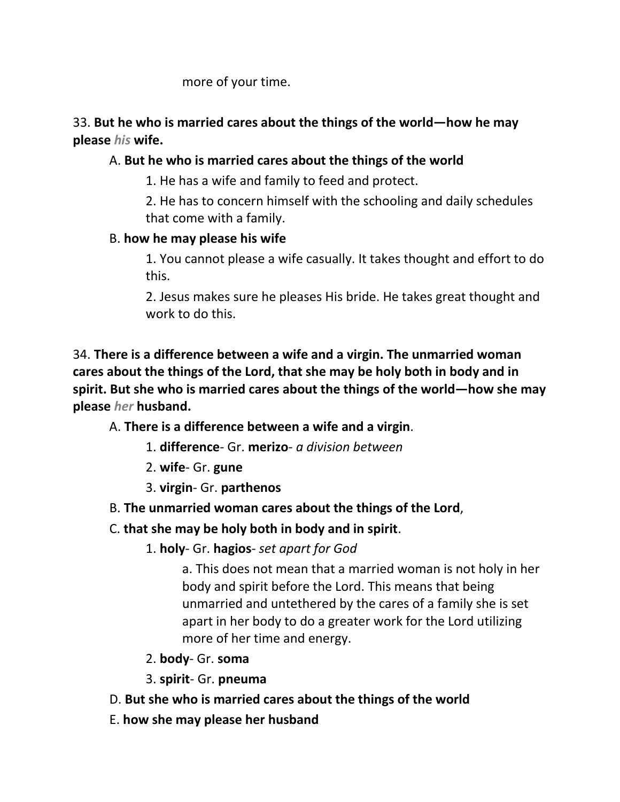more of your time.

## 33. **But he who is married cares about the things of the world—how he may please** *his* **wife.**

## A. **But he who is married cares about the things of the world**

1. He has a wife and family to feed and protect.

2. He has to concern himself with the schooling and daily schedules that come with a family.

## B. **how he may please his wife**

1. You cannot please a wife casually. It takes thought and effort to do this.

2. Jesus makes sure he pleases His bride. He takes great thought and work to do this.

34. **There is a difference between a wife and a virgin. The unmarried woman cares about the things of the Lord, that she may be holy both in body and in spirit. But she who is married cares about the things of the world—how she may please** *her* **husband.** 

A. **There is a difference between a wife and a virgin**.

- 1. **difference** Gr. **merizo** *a division between*
- 2. **wife** Gr. **gune**
- 3. **virgin** Gr. **parthenos**
- B. **The unmarried woman cares about the things of the Lord**,

## C. **that she may be holy both in body and in spirit**.

1. **holy**- Gr. **hagios**- *set apart for God*

a. This does not mean that a married woman is not holy in her body and spirit before the Lord. This means that being unmarried and untethered by the cares of a family she is set apart in her body to do a greater work for the Lord utilizing more of her time and energy.

- 2. **body** Gr. **soma**
- 3. **spirit** Gr. **pneuma**
- D. **But she who is married cares about the things of the world**
- E. **how she may please her husband**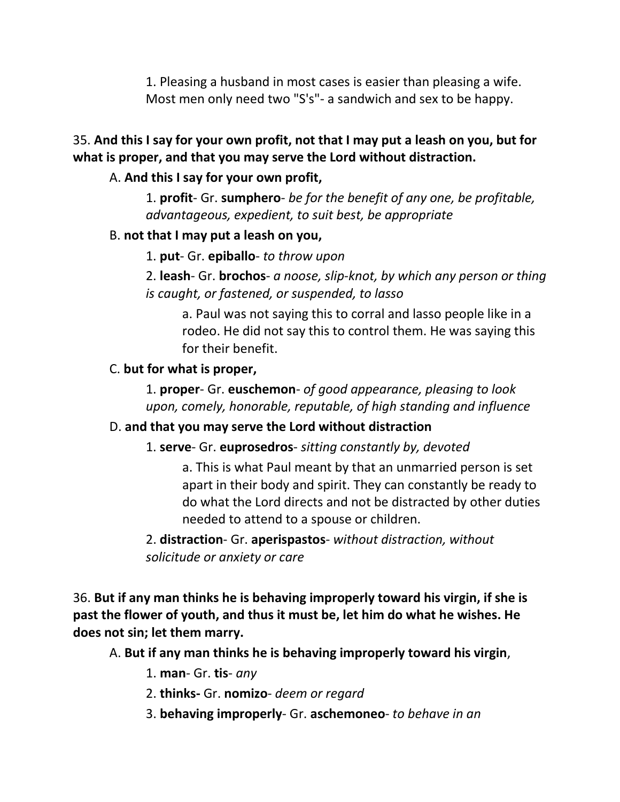1. Pleasing a husband in most cases is easier than pleasing a wife. Most men only need two "S's"- a sandwich and sex to be happy.

## 35. **And this I say for your own profit, not that I may put a leash on you, but for what is proper, and that you may serve the Lord without distraction.**

### A. **And this I say for your own profit,**

1. **profit**- Gr. **sumphero**- *be for the benefit of any one, be profitable, advantageous, expedient, to suit best, be appropriate*

### B. **not that I may put a leash on you,**

1. **put**- Gr. **epiballo**- *to throw upon*

2. **leash**- Gr. **brochos**- *a noose, slip-knot, by which any person or thing is caught, or fastened, or suspended, to lasso*

a. Paul was not saying this to corral and lasso people like in a rodeo. He did not say this to control them. He was saying this for their benefit.

### C. **but for what is proper,**

1. **proper**- Gr. **euschemon**- *of good appearance, pleasing to look upon, comely, honorable, reputable, of high standing and influence*

## D. **and that you may serve the Lord without distraction**

### 1. **serve**- Gr. **euprosedros**- *sitting constantly by, devoted*

a. This is what Paul meant by that an unmarried person is set apart in their body and spirit. They can constantly be ready to do what the Lord directs and not be distracted by other duties needed to attend to a spouse or children.

2. **distraction**- Gr. **aperispastos**- *without distraction, without solicitude or anxiety or care*

36. **But if any man thinks he is behaving improperly toward his virgin, if she is past the flower of youth, and thus it must be, let him do what he wishes. He does not sin; let them marry.** 

A. **But if any man thinks he is behaving improperly toward his virgin**,

1. **man**- Gr. **tis**- *any*

- 2. **thinks-** Gr. **nomizo** *deem or regard*
- 3. **behaving improperly** Gr. **aschemoneo** *to behave in an*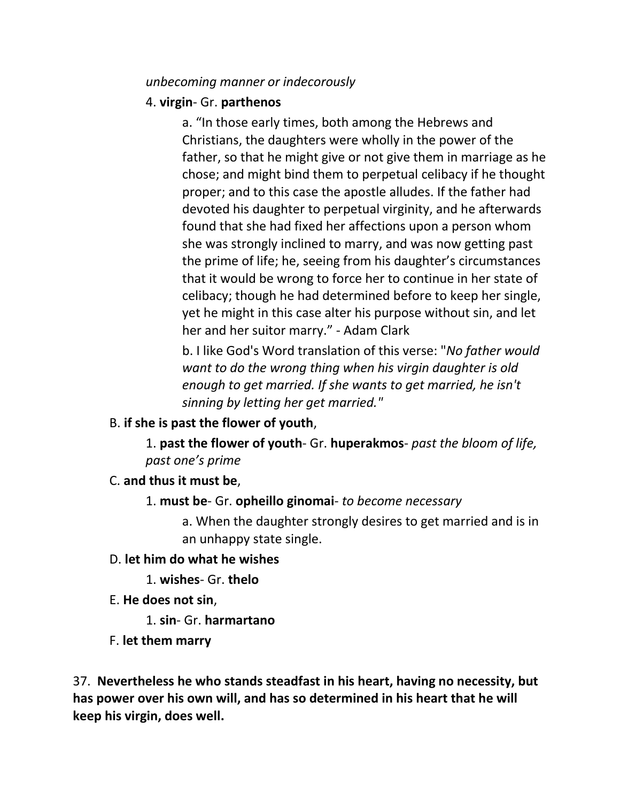#### *unbecoming manner or indecorously*

### 4. **virgin**- Gr. **parthenos**

a. "In those early times, both among the Hebrews and Christians, the daughters were wholly in the power of the father, so that he might give or not give them in marriage as he chose; and might bind them to perpetual celibacy if he thought proper; and to this case the apostle alludes. If the father had devoted his daughter to perpetual virginity, and he afterwards found that she had fixed her affections upon a person whom she was strongly inclined to marry, and was now getting past the prime of life; he, seeing from his daughter's circumstances that it would be wrong to force her to continue in her state of celibacy; though he had determined before to keep her single, yet he might in this case alter his purpose without sin, and let her and her suitor marry." - Adam Clark

b. I like God's Word translation of this verse: "*No father would want to do the wrong thing when his virgin daughter is old enough to get married. If she wants to get married, he isn't sinning by letting her get married."*

### B. **if she is past the flower of youth**,

1. **past the flower of youth**- Gr. **huperakmos**- *past the bloom of life, past one's prime*

### C. **and thus it must be**,

1. **must be**- Gr. **opheillo ginomai**- *to become necessary*

a. When the daughter strongly desires to get married and is in an unhappy state single.

- D. **let him do what he wishes**
	- 1. **wishes** Gr. **thelo**
- E. **He does not sin**,

1. **sin**- Gr. **harmartano**

F. **let them marry**

37. **Nevertheless he who stands steadfast in his heart, having no necessity, but has power over his own will, and has so determined in his heart that he will keep his virgin, does well.**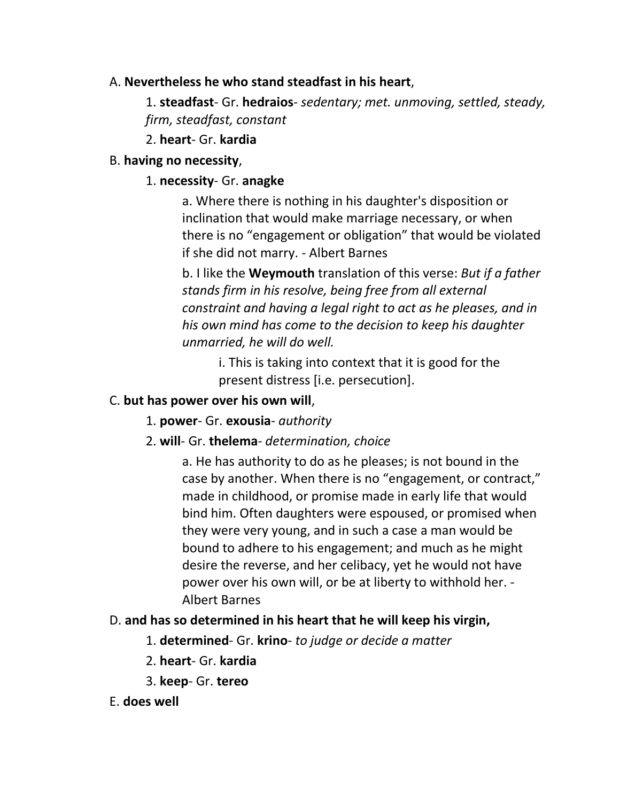### A. **Nevertheless he who stand steadfast in his heart**,

1. **steadfast**- Gr. **hedraios**- *sedentary; met. unmoving, settled, steady, firm, steadfast, constant*

2. **heart**- Gr. **kardia**

## B. **having no necessity**,

## 1. **necessity**- Gr. **anagke**

a. Where there is nothing in his daughter's disposition or inclination that would make marriage necessary, or when there is no "engagement or obligation" that would be violated if she did not marry. - Albert Barnes

b. I like the **Weymouth** translation of this verse: *But if a father stands firm in his resolve, being free from all external constraint and having a legal right to act as he pleases, and in his own mind has come to the decision to keep his daughter unmarried, he will do well.*

> i. This is taking into context that it is good for the present distress [i.e. persecution].

## C. **but has power over his own will**,

- 1. **power** Gr. **exousia** *authority*
- 2. **will** Gr. **thelema** *determination, choice*

a. He has authority to do as he pleases; is not bound in the case by another. When there is no "engagement, or contract," made in childhood, or promise made in early life that would bind him. Often daughters were espoused, or promised when they were very young, and in such a case a man would be bound to adhere to his engagement; and much as he might desire the reverse, and her celibacy, yet he would not have power over his own will, or be at liberty to withhold her. - Albert Barnes

## D. **and has so determined in his heart that he will keep his virgin,**

- 1. **determined** Gr. **krino** *to judge or decide a matter*
- 2. **heart** Gr. **kardia**
- 3. **keep** Gr. **tereo**
- E. **does well**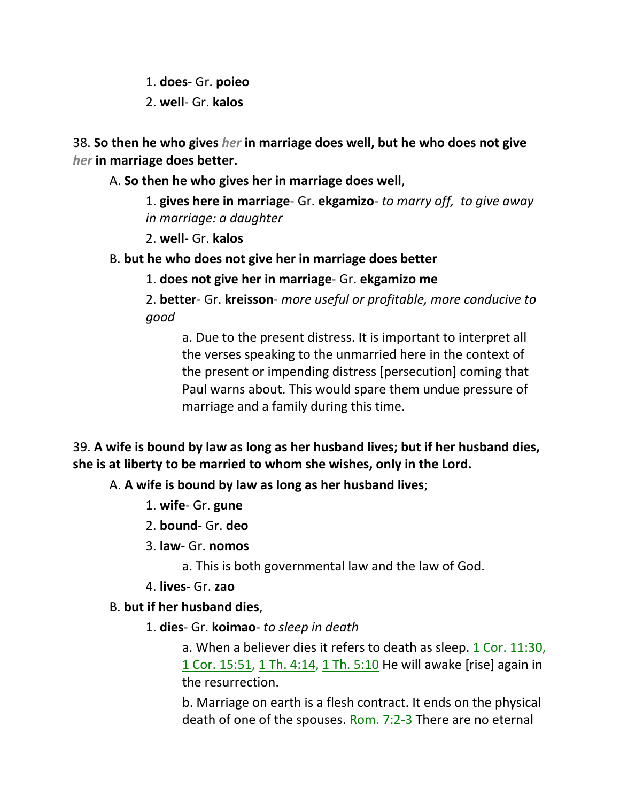1. **does**- Gr. **poieo**

2. **well**- Gr. **kalos**

38. **So then he who gives** *her* **in marriage does well, but he who does not give**  *her* **in marriage does better.** 

A. **So then he who gives her in marriage does well**,

1. **gives here in marriage**- Gr. **ekgamizo**- *to marry off, to give away in marriage: a daughter*

2. **well**- Gr. **kalos**

B. **but he who does not give her in marriage does better**

1. **does not give her in marriage**- Gr. **ekgamizo me**

2. **better**- Gr. **kreisson**- *more useful or profitable, more conducive to good*

a. Due to the present distress. It is important to interpret all the verses speaking to the unmarried here in the context of the present or impending distress [persecution] coming that Paul warns about. This would spare them undue pressure of marriage and a family during this time.

39. **A wife is bound by law as long as her husband lives; but if her husband dies, she is at liberty to be married to whom she wishes, only in the Lord.** 

A. **A wife is bound by law as long as her husband lives**;

- 1. **wife** Gr. **gune**
- 2. **bound** Gr. **deo**
- 3. **law** Gr. **nomos**

a. This is both governmental law and the law of God.

4. **lives**- Gr. **zao**

## B. **but if her husband dies**,

1. **dies**- Gr. **koimao**- *to sleep in death*

a. When a believer dies it refers to death as sleep. 1 Cor. 11:30, 1 Cor. 15:51, 1 Th. 4:14, 1 Th. 5:10 He will awake [rise] again in the resurrection.

b. Marriage on earth is a flesh contract. It ends on the physical death of one of the spouses. Rom. 7:2-3 There are no eternal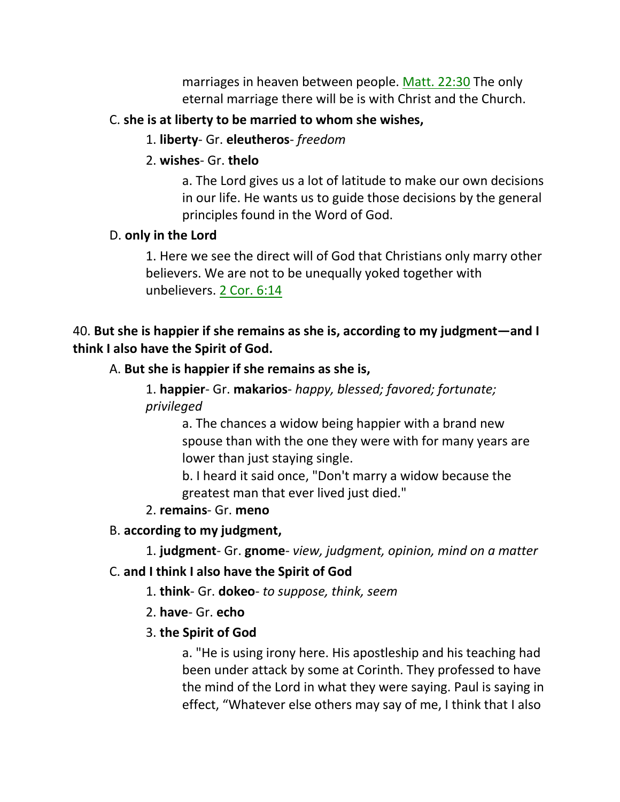marriages in heaven between people. Matt. 22:30 The only eternal marriage there will be is with Christ and the Church.

### C. **she is at liberty to be married to whom she wishes,**

- 1. **liberty** Gr. **eleutheros** *freedom*
- 2. **wishes** Gr. **thelo**

a. The Lord gives us a lot of latitude to make our own decisions in our life. He wants us to guide those decisions by the general principles found in the Word of God.

## D. **only in the Lord**

1. Here we see the direct will of God that Christians only marry other believers. We are not to be unequally yoked together with unbelievers. 2 Cor. 6:14

## 40. **But she is happier if she remains as she is, according to my judgment—and I think I also have the Spirit of God.**

## A. **But she is happier if she remains as she is,**

1. **happier**- Gr. **makarios**- *happy, blessed; favored; fortunate; privileged*

> a. The chances a widow being happier with a brand new spouse than with the one they were with for many years are lower than just staying single.

b. I heard it said once, "Don't marry a widow because the greatest man that ever lived just died."

## 2. **remains**- Gr. **meno**

## B. **according to my judgment,**

1. **judgment**- Gr. **gnome**- *view, judgment, opinion, mind on a matter*

## C. **and I think I also have the Spirit of God**

- 1. **think** Gr. **dokeo** *to suppose, think, seem*
- 2. **have** Gr. **echo**

## 3. **the Spirit of God**

a. "He is using irony here. His apostleship and his teaching had been under attack by some at Corinth. They professed to have the mind of the Lord in what they were saying. Paul is saying in effect, "Whatever else others may say of me, I think that I also